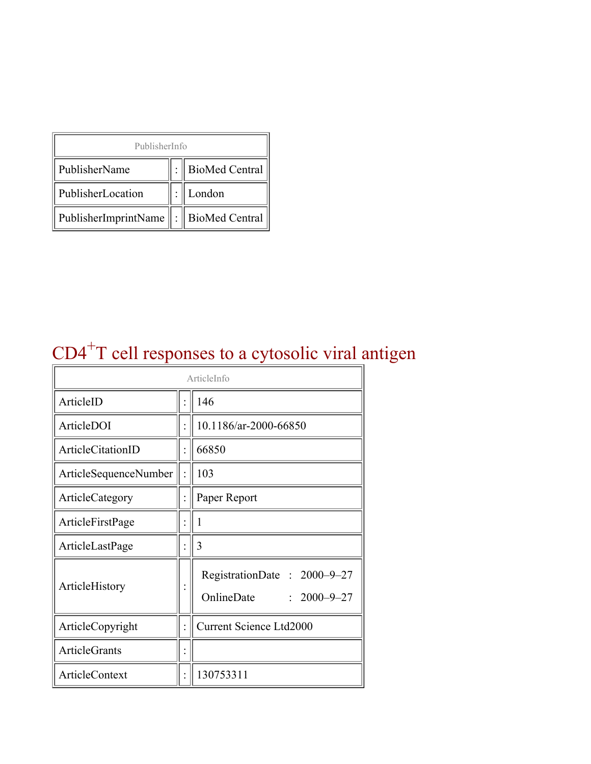| PublisherInfo                                   |  |                    |  |  |
|-------------------------------------------------|--|--------------------|--|--|
| PublisherName                                   |  | :   BioMed Central |  |  |
| PublisherLocation                               |  | London             |  |  |
| PublisherImprintName $\ \cdot\ $ BioMed Central |  |                    |  |  |

# CD4<sup>+</sup>T cell responses to a cytosolic viral antigen

| ArticleInfo                  |  |                                                                |
|------------------------------|--|----------------------------------------------------------------|
| ArticleID                    |  | 146                                                            |
| ArticleDOI                   |  | 10.1186/ar-2000-66850                                          |
| <b>ArticleCitationID</b>     |  | 66850                                                          |
| <b>ArticleSequenceNumber</b> |  | 103                                                            |
| ArticleCategory              |  | Paper Report                                                   |
| ArticleFirstPage             |  | 1                                                              |
| ArticleLastPage              |  | 3                                                              |
| ArticleHistory               |  | RegistrationDate: 2000-9-27<br>OnlineDate<br>$: 2000 - 9 - 27$ |
| ArticleCopyright             |  | <b>Current Science Ltd2000</b>                                 |
| <b>ArticleGrants</b>         |  |                                                                |
| <b>ArticleContext</b>        |  | 130753311                                                      |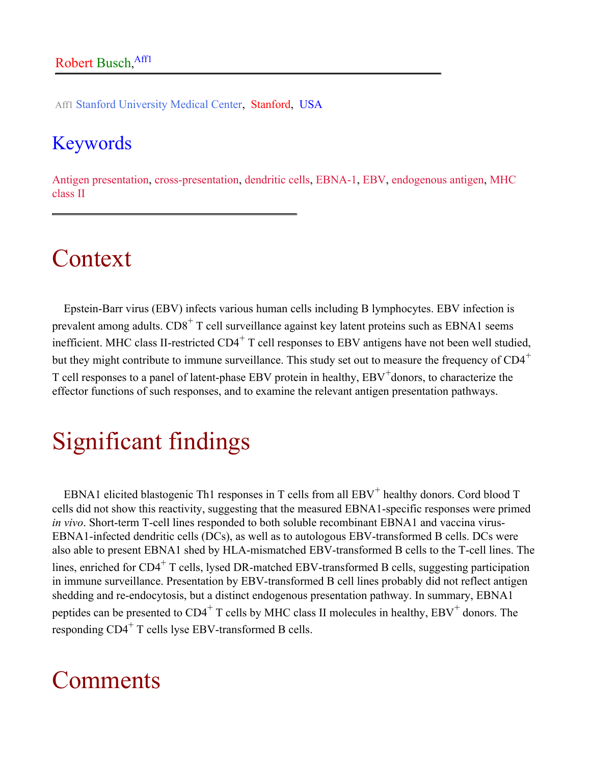Aff1 Stanford University Medical Center, Stanford, USA

#### Keywords

Antigen presentation, cross-presentation, dendritic cells, EBNA-1, EBV, endogenous antigen, MHC class II

### Context

Epstein-Barr virus (EBV) infects various human cells including B lymphocytes. EBV infection is prevalent among adults.  $CD8<sup>+</sup>$  T cell surveillance against key latent proteins such as EBNA1 seems inefficient. MHC class II-restricted  $CD4^+$  T cell responses to EBV antigens have not been well studied, but they might contribute to immune surveillance. This study set out to measure the frequency of CD4<sup>+</sup> T cell responses to a panel of latent-phase EBV protein in healthy, EBV<sup>+</sup>donors, to characterize the effector functions of such responses, and to examine the relevant antigen presentation pathways.

## Significant findings

EBNA1 elicited blastogenic Th1 responses in T cells from all  $EBV^+$  healthy donors. Cord blood T cells did not show this reactivity, suggesting that the measured EBNA1-specific responses were primed *in vivo*. Short-term T-cell lines responded to both soluble recombinant EBNA1 and vaccina virus-EBNA1-infected dendritic cells (DCs), as well as to autologous EBV-transformed B cells. DCs were also able to present EBNA1 shed by HLA-mismatched EBV-transformed B cells to the T-cell lines. The lines, enriched for  $CD4^+$  T cells, lysed DR-matched EBV-transformed B cells, suggesting participation in immune surveillance. Presentation by EBV-transformed B cell lines probably did not reflect antigen shedding and re-endocytosis, but a distinct endogenous presentation pathway. In summary, EBNA1 peptides can be presented to  $CD4^+$  T cells by MHC class II molecules in healthy,  $EBV^+$  donors. The responding CD4<sup>+</sup> T cells lyse EBV-transformed B cells.

### **Comments**